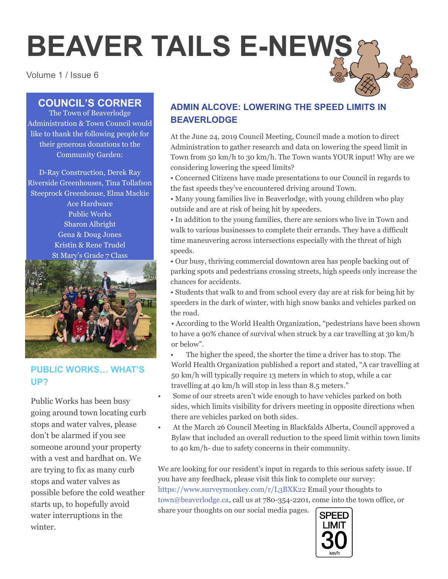# **BEAVER TAILS E-NEWS**

Volume 1 / Issue 6

# **COUNCIL'S CORNER**

The Town of Beaverlodge Administration & Town Council would like to thank the following people for their generous donations to the Community Garden:

D-Ray Construction, Derek Ray Riverside Greenhouses, Tina Tollafson Steeprock Greenhouse, Elma Mackie Ace Hardware Public Works Sharon Albright Gena & Doug Jones Kristin & Rene Trudel St Mary's Grade 7 Class



# **PUBLIC WORKS… WHAT'S UP?**

Public Works has been busy going around town locating curb stops and water valves, please don't be alarmed if you see someone around your property with a vest and hardhat on. We are trying to fix as many curb stops and water valves as possible before the cold weather starts up, to hopefully avoid water interruptions in the winter.

# **ADMIN ALCOVE: LOWERING THE SPEED LIMITS IN BEAVERLODGE**

At the June 24, 2019 Council Meeting, Council made a motion to direct Administration to gather research and data on lowering the speed limit in Town from 50 km/h to 30 km/h. The Town wants YOUR input! Why are we considering lowering the speed limits?

• Concerned Citizens have made presentations to our Council in regards to the fast speeds they've encountered driving around Town.

• Many young families live in Beaverlodge, with young children who play outside and are at risk of being hit by speeders.

• In addition to the young families, there are seniors who live in Town and walk to various businesses to complete their errands. They have a difficult time maneuvering across intersections especially with the threat of high speeds.

• Our busy, thriving commercial downtown area has people backing out of parking spots and pedestrians crossing streets, high speeds only increase the chances for accidents.

• Students that walk to and from school every day are at risk for being hit by speeders in the dark of winter, with high snow banks and vehicles parked on the road.

• According to the World Health Organization, "pedestrians have been shown to have a 90% chance of survival when struck by a car travelling at 30 km/h or below".

- The higher the speed, the shorter the time a driver has to stop. The World Health Organization published a report and stated, "A car travelling at 50 km/h will typically require 13 meters in which to stop, while a car travelling at 40 km/h will stop in less than 8.5 meters."
- Some of our streets aren't wide enough to have vehicles parked on both sides, which limits visibility for drivers meeting in opposite directions when there are vehicles parked on both sides.
- At the March 26 Council Meeting in Blackfalds Alberta, Council approved a Bylaw that included an overall reduction to the speed limit within town limits to 40 km/h- due to safety concerns in their community.

We are looking for our resident's input in regards to this serious safety issue. If you have any feedback, please visit this link to complete our survey: https://www.surveymonkey.com/r/L3BXK22 Email your thoughts to town@beaverlodge.ca, call us at 780-354-2201, come into the town office, or share your thoughts on our social media pages.

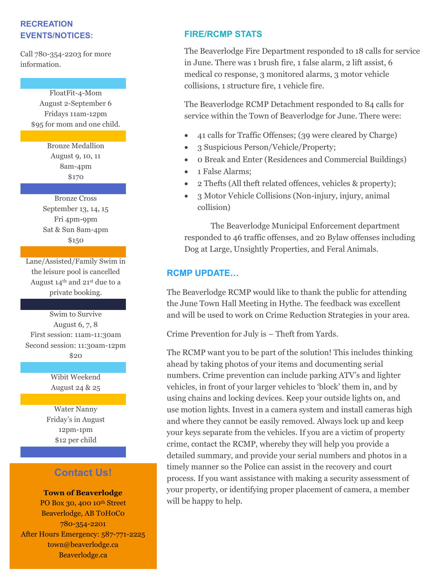## **RECREATION EVENTS/NOTICES:**

Call 780-354-2203 for more information.

> FloatFit-4-Mom August 2-September 6 Fridays 11am-12pm \$95 for mom and one child.

> > Bronze Medallion August 9, 10, 11 8am-4pm \$170

Bronze Cross September 13, 14, 15 Fri 4pm-9pm Sat & Sun 8am-4pm \$150

Lane/Assisted/Family Swim in the leisure pool is cancelled August 14th and 21st due to a private booking.

Swim to Survive August 6, 7, 8 First session: 11am-11:30am Second session: 11:30am-12pm  $$20$ 

> Wibit Weekend August 24 & 25

Water Nanny Friday's in August 12pm-1pm \$12 per child

# **Contact Us!**

**Town of Beaverlodge** PO Box 30, 400 10<sup>th</sup> Street Beaverlodge, AB ToHoCo  $780 - 354 - 2201$ After Hours Emergency: 587-771-2225 town@beaverlodge.ca Beaverlodge.ca

 $\mathcal{F}_\mathrm{max}$  and  $\mathcal{F}_\mathrm{max}$  and  $\mathcal{F}_\mathrm{max}$ 

## **FIRE/RCMP STATS**

The Beaverlodge Fire Department responded to 18 calls for service in June. There was 1 brush fire, 1 false alarm, 2 lift assist, 6 medical co response, 3 monitored alarms, 3 motor vehicle collisions, 1 structure fire, 1 vehicle fire.

The Beaverlodge RCMP Detachment responded to 84 calls for service within the Town of Beaverlodge for June. There were:

- 41 calls for Traffic Offenses; (39 were cleared by Charge)
- 3 Suspicious Person/Vehicle/Property;
- 0 Break and Enter (Residences and Commercial Buildings)
- 1 False Alarms;
- 2 Thefts (All theft related offences, vehicles & property);
- 3 Motor Vehicle Collisions (Non-injury, injury, animal collision)

The Beaverlodge Municipal Enforcement department responded to 46 traffic offenses, and 20 Bylaw offenses including Dog at Large, Unsightly Properties, and Feral Animals.

# **RCMP UPDATE…**

The Beaverlodge RCMP would like to thank the public for attending the June Town Hall Meeting in Hythe. The feedback was excellent and will be used to work on Crime Reduction Strategies in your area.

Crime Prevention for July is – Theft from Yards.

The RCMP want you to be part of the solution! This includes thinking ahead by taking photos of your items and documenting serial numbers. Crime prevention can include parking ATV's and lighter vehicles, in front of your larger vehicles to 'block' them in, and by using chains and locking devices. Keep your outside lights on, and use motion lights. Invest in a camera system and install cameras high and where they cannot be easily removed. Always lock up and keep your keys separate from the vehicles. If you are a victim of property crime, contact the RCMP, whereby they will help you provide a detailed summary, and provide your serial numbers and photos in a timely manner so the Police can assist in the recovery and court process. If you want assistance with making a security assessment of your property, or identifying proper placement of camera, a member will be happy to help.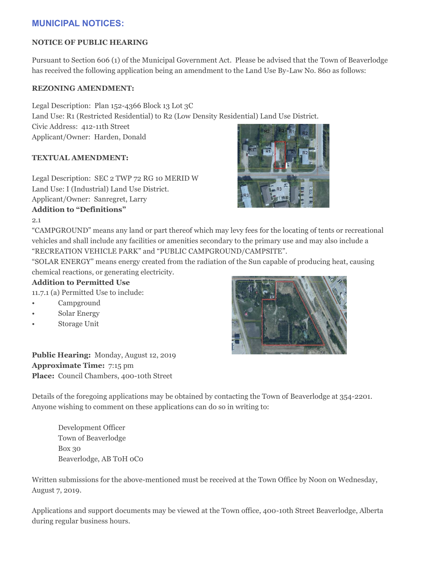# **MUNICIPAL NOTICES:**

#### **NOTICE OF PUBLIC HEARING**

Pursuant to Section 606 (1) of the Municipal Government Act. Please be advised that the Town of Beaverlodge has received the following application being an amendment to the Land Use By-Law No. 860 as follows:

#### **REZONING AMENDMENT:**

Legal Description: Plan 152-4366 Block 13 Lot 3C Land Use: R1 (Restricted Residential) to R2 (Low Density Residential) Land Use District. Civic Address: 412-11th Street Applicant/Owner: Harden, Donald

#### **TEXTUAL AMENDMENT:**

Legal Description: SEC 2 TWP 72 RG 10 MERID W Land Use: I (Industrial) Land Use District. Applicant/Owner: Sanregret, Larry **Addition to "Definitions"**

2.1

"CAMPGROUND" means any land or part thereof which may levy fees for the locating of tents or recreational vehicles and shall include any facilities or amenities secondary to the primary use and may also include a "RECREATION VEHICLE PARK" and "PUBLIC CAMPGROUND/CAMPSITE".

"SOLAR ENERGY" means energy created from the radiation of the Sun capable of producing heat, causing chemical reactions, or generating electricity.

#### **Addition to Permitted Use**

11.7.1 (a) Permitted Use to include:

- Campground
- Solar Energy
- Storage Unit

**Public Hearing:** Monday, August 12, 2019 **Approximate Time:** 7:15 pm **Place:** Council Chambers, 400-10th Street

Details of the foregoing applications may be obtained by contacting the Town of Beaverlodge at 354-2201. Anyone wishing to comment on these applications can do so in writing to:

Development Officer Town of Beaverlodge Box 30 Beaverlodge, AB T0H 0C0

Written submissions for the above-mentioned must be received at the Town Office by Noon on Wednesday, August 7, 2019.

Applications and support documents may be viewed at the Town office, 400-10th Street Beaverlodge, Alberta during regular business hours.